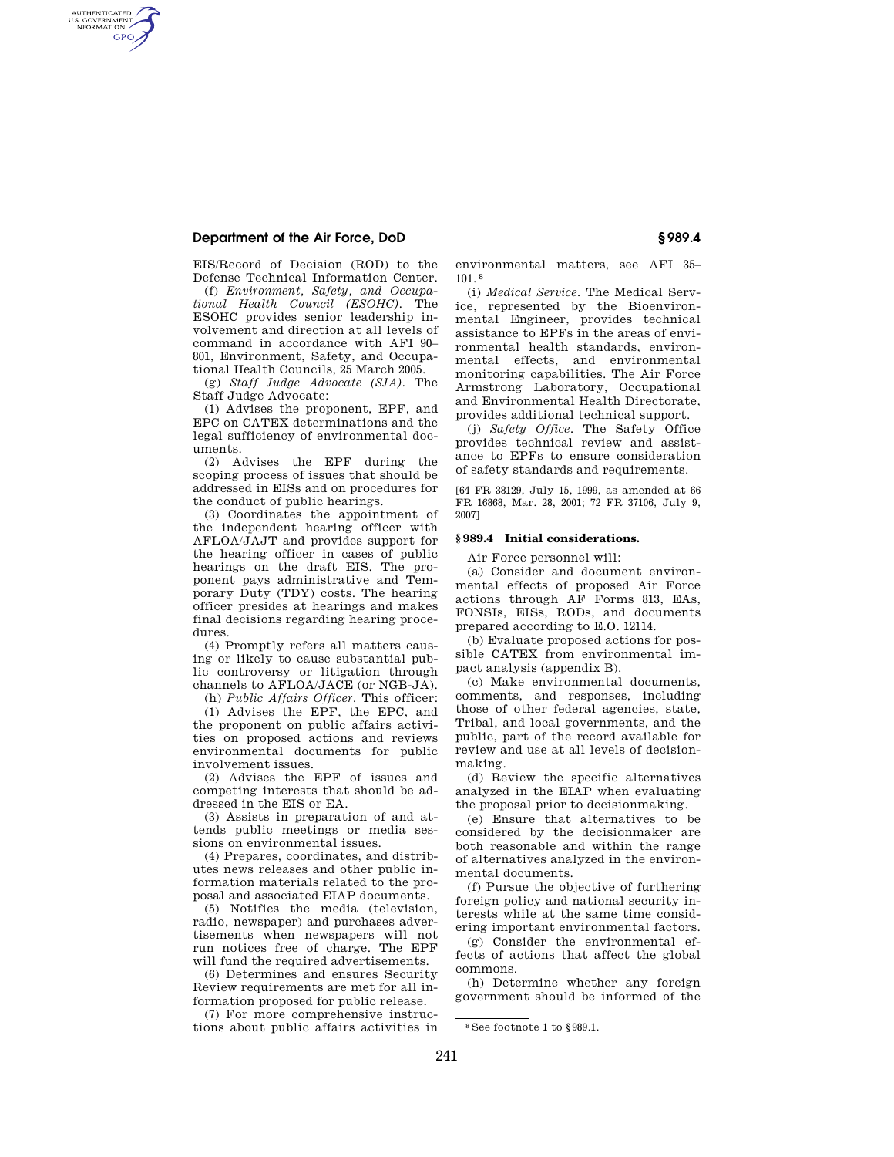# **Department of the Air Force, DoD § 989.4**

AUTHENTICATED<br>U.S. GOVERNMENT<br>INFORMATION **GPO** 

> EIS/Record of Decision (ROD) to the Defense Technical Information Center.

(f) *Environment, Safety, and Occupational Health Council (ESOHC).* The ESOHC provides senior leadership involvement and direction at all levels of command in accordance with AFI 90– 801, Environment, Safety, and Occupational Health Councils, 25 March 2005.

(g) *Staff Judge Advocate (SJA).* The Staff Judge Advocate:

(1) Advises the proponent, EPF, and EPC on CATEX determinations and the legal sufficiency of environmental documents.

(2) Advises the EPF during the scoping process of issues that should be addressed in EISs and on procedures for the conduct of public hearings.

(3) Coordinates the appointment of the independent hearing officer with AFLOA/JAJT and provides support for the hearing officer in cases of public hearings on the draft EIS. The proponent pays administrative and Temporary Duty (TDY) costs. The hearing officer presides at hearings and makes final decisions regarding hearing procedures.

(4) Promptly refers all matters causing or likely to cause substantial public controversy or litigation through channels to AFLOA/JACE (or NGB-JA).

(h) *Public Affairs Officer.* This officer: (1) Advises the EPF, the EPC, and the proponent on public affairs activities on proposed actions and reviews environmental documents for public involvement issues.

(2) Advises the EPF of issues and competing interests that should be addressed in the EIS or EA.

(3) Assists in preparation of and attends public meetings or media sessions on environmental issues.

(4) Prepares, coordinates, and distributes news releases and other public information materials related to the proposal and associated EIAP documents.

(5) Notifies the media (television, radio, newspaper) and purchases advertisements when newspapers will not run notices free of charge. The EPF will fund the required advertisements.

(6) Determines and ensures Security Review requirements are met for all information proposed for public release.

(7) For more comprehensive instructions about public affairs activities in environmental matters, see AFI 35– 101. 8

(i) *Medical Service.* The Medical Service, represented by the Bioenvironmental Engineer, provides technical assistance to EPFs in the areas of environmental health standards, environmental effects, and environmental monitoring capabilities. The Air Force Armstrong Laboratory, Occupational and Environmental Health Directorate, provides additional technical support.

(j) *Safety Office.* The Safety Office provides technical review and assistance to EPFs to ensure consideration of safety standards and requirements.

[64 FR 38129, July 15, 1999, as amended at 66 FR 16868, Mar. 28, 2001; 72 FR 37106, July 9, 2007]

### **§ 989.4 Initial considerations.**

Air Force personnel will:

(a) Consider and document environmental effects of proposed Air Force actions through AF Forms 813, EAs, FONSIs, EISs, RODs, and documents prepared according to E.O. 12114.

(b) Evaluate proposed actions for possible CATEX from environmental impact analysis (appendix B).

(c) Make environmental documents, comments, and responses, including those of other federal agencies, state, Tribal, and local governments, and the public, part of the record available for review and use at all levels of decisionmaking.

(d) Review the specific alternatives analyzed in the EIAP when evaluating the proposal prior to decisionmaking.

(e) Ensure that alternatives to be considered by the decisionmaker are both reasonable and within the range of alternatives analyzed in the environmental documents.

(f) Pursue the objective of furthering foreign policy and national security interests while at the same time considering important environmental factors.

(g) Consider the environmental effects of actions that affect the global commons.

(h) Determine whether any foreign government should be informed of the

241

<sup>8</sup> See footnote 1 to §989.1.